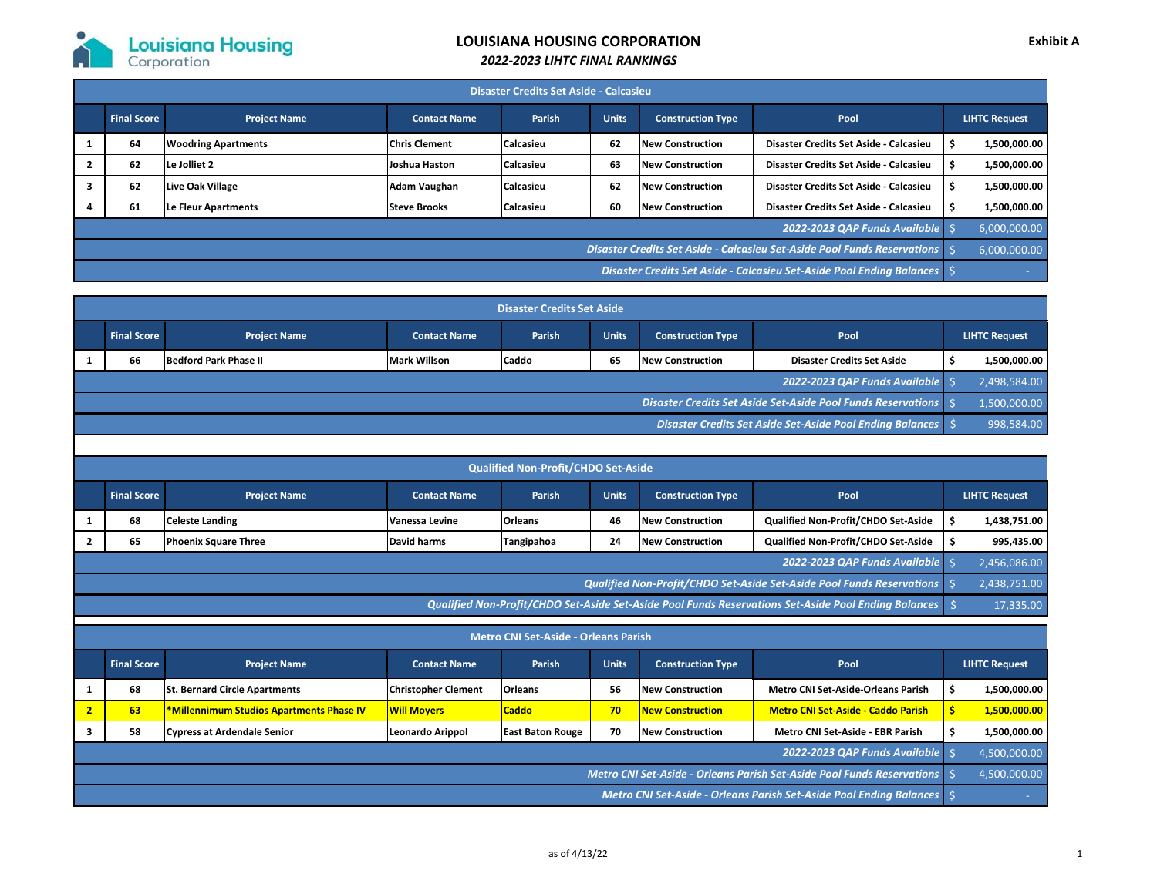

## **LOUISIANA HOUSING CORPORATION**

## *2022‐2023 LIHTC FINAL RANKINGS*

| <b>Disaster Credits Set Aside - Calcasieu</b>                            |                    |                            |                      |                  |              |                          |                                        |  |                      |  |
|--------------------------------------------------------------------------|--------------------|----------------------------|----------------------|------------------|--------------|--------------------------|----------------------------------------|--|----------------------|--|
|                                                                          | <b>Final Score</b> | <b>Project Name</b>        | <b>Contact Name</b>  | Parish           | <b>Units</b> | <b>Construction Type</b> | Pool                                   |  | <b>LIHTC Request</b> |  |
|                                                                          | 64                 | <b>Woodring Apartments</b> | <b>Chris Clement</b> | <b>Calcasieu</b> | 62           | <b>New Construction</b>  | Disaster Credits Set Aside - Calcasieu |  | 1.500.000.00         |  |
|                                                                          | 62                 | Le Jolliet 2               | Joshua Haston        | <b>Calcasieu</b> | 63           | <b>New Construction</b>  | Disaster Credits Set Aside - Calcasieu |  | 1.500.000.00         |  |
|                                                                          | 62                 | Live Oak Village           | Adam Vaughan         | <b>Calcasieu</b> | 62           | <b>New Construction</b>  | Disaster Credits Set Aside - Calcasieu |  | 1,500,000.00         |  |
|                                                                          | 61                 | Le Fleur Apartments        | <b>Steve Brooks</b>  | <b>Calcasieu</b> | 60           | <b>New Construction</b>  | Disaster Credits Set Aside - Calcasieu |  | 1.500.000.00         |  |
| 2022-2023 OAP Funds Available                                            |                    |                            |                      |                  |              |                          |                                        |  | 6,000,000.00         |  |
| Disaster Credits Set Aside - Calcasieu Set-Aside Pool Funds Reservations |                    |                            |                      |                  |              |                          |                                        |  | 6,000,000.00         |  |
| Disaster Credits Set Aside - Calcasieu Set-Aside Pool Ending Balances    |                    |                            |                      |                  |              |                          |                                        |  | <b>Contract</b>      |  |

| <b>Disaster Credits Set Aside</b>                              |                    |                              |                     |              |              |                          |                                   |  |                      |
|----------------------------------------------------------------|--------------------|------------------------------|---------------------|--------------|--------------|--------------------------|-----------------------------------|--|----------------------|
|                                                                | <b>Final Score</b> | <b>Project Name</b>          | <b>Contact Name</b> | Parish       | <b>Units</b> | <b>Construction Type</b> | Pool                              |  | <b>LIHTC Request</b> |
|                                                                | 66                 | <b>Bedford Park Phase II</b> | <b>Mark Willson</b> | <b>Caddo</b> | 65           | <b>New Construction</b>  | <b>Disaster Credits Set Aside</b> |  | 1,500,000.00         |
| 2022-2023 QAP Funds Available                                  |                    |                              |                     |              |              |                          |                                   |  | 2,498,584.00         |
| Disaster Credits Set Aside Set-Aside Pool Funds Reservations   |                    |                              |                     |              |              |                          |                                   |  | 1,500,000.00         |
| Disaster Credits Set Aside Set-Aside Pool Ending Balances   \$ |                    |                              |                     |              |              |                          |                                   |  | 998,584.00           |

| <b>Qualified Non-Profit/CHDO Set-Aside</b>                                                                |                    |                             |                     |                |              |                          |                                     |  |                      |
|-----------------------------------------------------------------------------------------------------------|--------------------|-----------------------------|---------------------|----------------|--------------|--------------------------|-------------------------------------|--|----------------------|
|                                                                                                           | <b>Final Score</b> | <b>Project Name</b>         | <b>Contact Name</b> | <b>Parish</b>  | <b>Units</b> | <b>Construction Type</b> | Pool                                |  | <b>LIHTC Request</b> |
|                                                                                                           | 68                 | <b>Celeste Landing</b>      | Vanessa Levine      | <b>Orleans</b> | 46           | <b>New Construction</b>  | Qualified Non-Profit/CHDO Set-Aside |  | 1,438,751.00         |
|                                                                                                           | 65                 | <b>Phoenix Square Three</b> | David harms         | Tangipahoa     | 24           | <b>New Construction</b>  | Qualified Non-Profit/CHDO Set-Aside |  | 995,435.00           |
|                                                                                                           |                    |                             |                     |                |              |                          | 2022-2023 OAP Funds Available       |  | 2,456,086.00         |
| Qualified Non-Profit/CHDO Set-Aside Set-Aside Pool Funds Reservations                                     |                    |                             |                     |                |              |                          |                                     |  | 2,438,751.00         |
| Qualified Non-Profit/CHDO Set-Aside Set-Aside Pool Funds Reservations Set-Aside Pool Ending Balances \ \$ |                    |                             |                     |                |              |                          |                                     |  | 17,335.00            |

| <b>Metro CNI Set-Aside - Orleans Parish</b>                         |                                                                        |                                                 |                            |                         |              |                          |                                           |  |                      |
|---------------------------------------------------------------------|------------------------------------------------------------------------|-------------------------------------------------|----------------------------|-------------------------|--------------|--------------------------|-------------------------------------------|--|----------------------|
|                                                                     | <b>Final Score</b>                                                     | <b>Project Name</b>                             | <b>Contact Name</b>        | Parish                  | <b>Units</b> | <b>Construction Type</b> | Pool                                      |  | <b>LIHTC Request</b> |
|                                                                     | 68                                                                     | <b>St. Bernard Circle Apartments</b>            | <b>Christopher Clement</b> | <b>Orleans</b>          | 56           | <b>New Construction</b>  | <b>Metro CNI Set-Aside-Orleans Parish</b> |  | 1,500,000.00         |
|                                                                     | 63                                                                     | <b>*Millennimum Studios Apartments Phase IV</b> | <b>Will Movers</b>         | <b>Caddo</b>            | 70           | <b>New Construction</b>  | <b>Metro CNI Set-Aside - Caddo Parish</b> |  | 1,500,000.00         |
|                                                                     | 58                                                                     | <b>Cypress at Ardendale Senior</b>              | Leonardo Arippol           | <b>East Baton Rouge</b> | 70           | <b>New Construction</b>  | Metro CNI Set-Aside - EBR Parish          |  | 1,500,000.00         |
|                                                                     |                                                                        |                                                 |                            |                         |              |                          | 2022-2023 OAP Funds Available             |  | 4,500,000.00         |
|                                                                     | Metro CNI Set-Aside - Orleans Parish Set-Aside Pool Funds Reservations |                                                 |                            |                         |              |                          |                                           |  |                      |
| Metro CNI Set-Aside - Orleans Parish Set-Aside Pool Ending Balances |                                                                        |                                                 |                            |                         |              |                          |                                           |  |                      |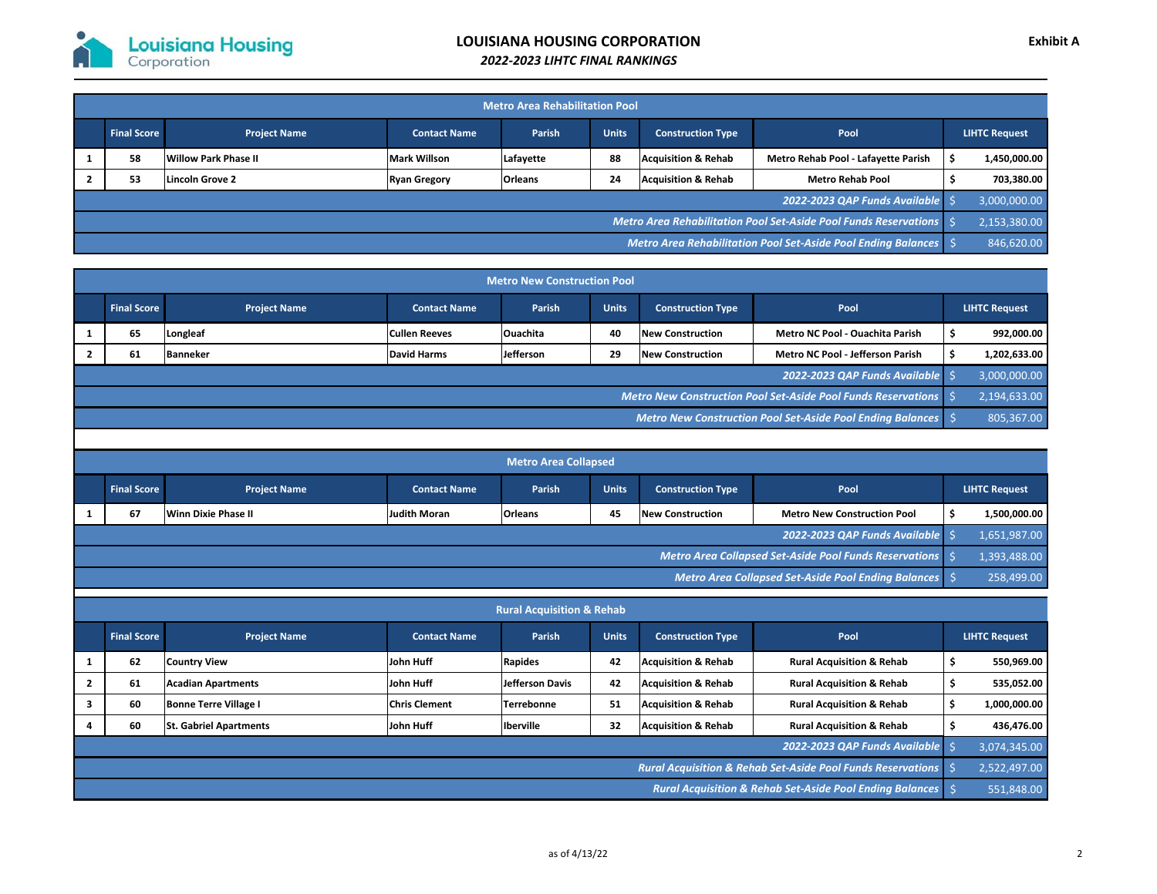| <b>Metro Area Rehabilitation Pool</b>                            |                    |                      |                     |                |              |                                |                                     |  |                      |
|------------------------------------------------------------------|--------------------|----------------------|---------------------|----------------|--------------|--------------------------------|-------------------------------------|--|----------------------|
|                                                                  | <b>Final Score</b> | <b>Project Name</b>  | <b>Contact Name</b> | Parish         | <b>Units</b> | <b>Construction Type</b>       | Pool                                |  | <b>LIHTC Request</b> |
|                                                                  | 58                 | Willow Park Phase II | <b>Mark Willson</b> | Lafayette      | 88           | <b>Acquisition &amp; Rehab</b> | Metro Rehab Pool - Lafayette Parish |  | 1.450.000.00         |
|                                                                  | 53                 | Lincoln Grove 2      | <b>Ryan Gregory</b> | <b>Orleans</b> | 24           | <b>Acquisition &amp; Rehab</b> | <b>Metro Rehab Pool</b>             |  | 703,380.00           |
|                                                                  |                    |                      |                     |                |              |                                | 2022-2023 QAP Funds Available       |  | 3,000,000.00         |
| Metro Area Rehabilitation Pool Set-Aside Pool Funds Reservations |                    |                      |                     |                |              |                                |                                     |  | 2,153,380.00         |
| Metro Area Rehabilitation Pool Set-Aside Pool Ending Balances    |                    |                      |                     |                |              |                                |                                     |  | 846,620.00           |

| <b>Metro New Construction Pool</b>                              |                    |                     |                      |                  |              |                          |                                         |  |                      |
|-----------------------------------------------------------------|--------------------|---------------------|----------------------|------------------|--------------|--------------------------|-----------------------------------------|--|----------------------|
|                                                                 | <b>Final Score</b> | <b>Project Name</b> | <b>Contact Name</b>  | <b>Parish</b>    | <b>Units</b> | <b>Construction Type</b> | Pool                                    |  | <b>LIHTC Request</b> |
|                                                                 | 65                 | Longleaf            | <b>Cullen Reeves</b> | <b>Ouachita</b>  | 40           | <b>New Construction</b>  | Metro NC Pool - Ouachita Parish         |  | 992,000.00           |
|                                                                 | 61                 | <b>Banneker</b>     | David Harms          | <b>Jefferson</b> | 29           | <b>New Construction</b>  | <b>Metro NC Pool - Jefferson Parish</b> |  | 1,202,633.00         |
|                                                                 |                    |                     |                      |                  |              |                          | 2022-2023 QAP Funds Available           |  | 3,000,000.00         |
| Metro New Construction Pool Set-Aside Pool Funds Reservations   |                    |                     |                      |                  |              |                          |                                         |  | 2,194,633.00         |
| Metro New Construction Pool Set-Aside Pool Ending Balances \ \$ |                    |                     |                      |                  |              |                          |                                         |  | 805,367.00           |

| <b>Metro Area Collapsed</b>                         |                                                        |                            |                     |                |              |                          |                                    |  |               |
|-----------------------------------------------------|--------------------------------------------------------|----------------------------|---------------------|----------------|--------------|--------------------------|------------------------------------|--|---------------|
|                                                     | <b>Final Score</b>                                     | <b>Project Name</b>        | <b>Contact Name</b> | Parish         | <b>Units</b> | <b>Construction Type</b> | Pool                               |  | LIHTC Request |
|                                                     | 67                                                     | <b>Winn Dixie Phase II</b> | <b>Judith Moran</b> | <b>Orleans</b> | 45           | <b>New Construction</b>  | <b>Metro New Construction Pool</b> |  | 1,500,000.00  |
|                                                     |                                                        |                            |                     |                |              |                          | 2022-2023 QAP Funds Available      |  | 1,651,987.00  |
|                                                     | Metro Area Collapsed Set-Aside Pool Funds Reservations |                            |                     |                |              |                          |                                    |  | 1,393,488.00  |
| Metro Area Collapsed Set-Aside Pool Ending Balances |                                                        |                            |                     |                |              |                          |                                    |  | 258,499.00    |

| <b>Rural Acquisition &amp; Rehab</b>                                              |                    |                              |                      |                   |              |                                |                                      |  |                      |
|-----------------------------------------------------------------------------------|--------------------|------------------------------|----------------------|-------------------|--------------|--------------------------------|--------------------------------------|--|----------------------|
|                                                                                   | <b>Final Score</b> | <b>Project Name</b>          | <b>Contact Name</b>  | Parish            | <b>Units</b> | <b>Construction Type</b>       | Pool                                 |  | <b>LIHTC Request</b> |
|                                                                                   | 62                 | <b>Country View</b>          | John Huff            | Rapides           | 42           | <b>Acquisition &amp; Rehab</b> | <b>Rural Acquisition &amp; Rehab</b> |  | 550,969.00           |
|                                                                                   | 61                 | <b>Acadian Apartments</b>    | John Huff            | Jefferson Davis   | 42           | <b>Acquisition &amp; Rehab</b> | <b>Rural Acquisition &amp; Rehab</b> |  | 535,052.00           |
|                                                                                   | 60                 | <b>Bonne Terre Village I</b> | <b>Chris Clement</b> | <b>Terrebonne</b> | 51           | <b>Acquisition &amp; Rehab</b> | <b>Rural Acquisition &amp; Rehab</b> |  | 1,000,000.00         |
|                                                                                   | 60                 | lSt. Gabriel Apartments      | John Huff            | <b>Iberville</b>  | 32           | <b>Acquisition &amp; Rehab</b> | <b>Rural Acquisition &amp; Rehab</b> |  | 436,476.00           |
| 2022-2023 OAP Funds Available                                                     |                    |                              |                      |                   |              |                                |                                      |  | 3,074,345.00         |
| <b>Rural Acquisition &amp; Rehab Set-Aside Pool Funds Reservations</b> $\Diamond$ |                    |                              |                      |                   |              |                                |                                      |  | 2,522,497.00         |
| <b>Rural Acquisition &amp; Rehab Set-Aside Pool Ending Balances</b> \$            |                    |                              |                      |                   |              |                                |                                      |  | 551,848.00           |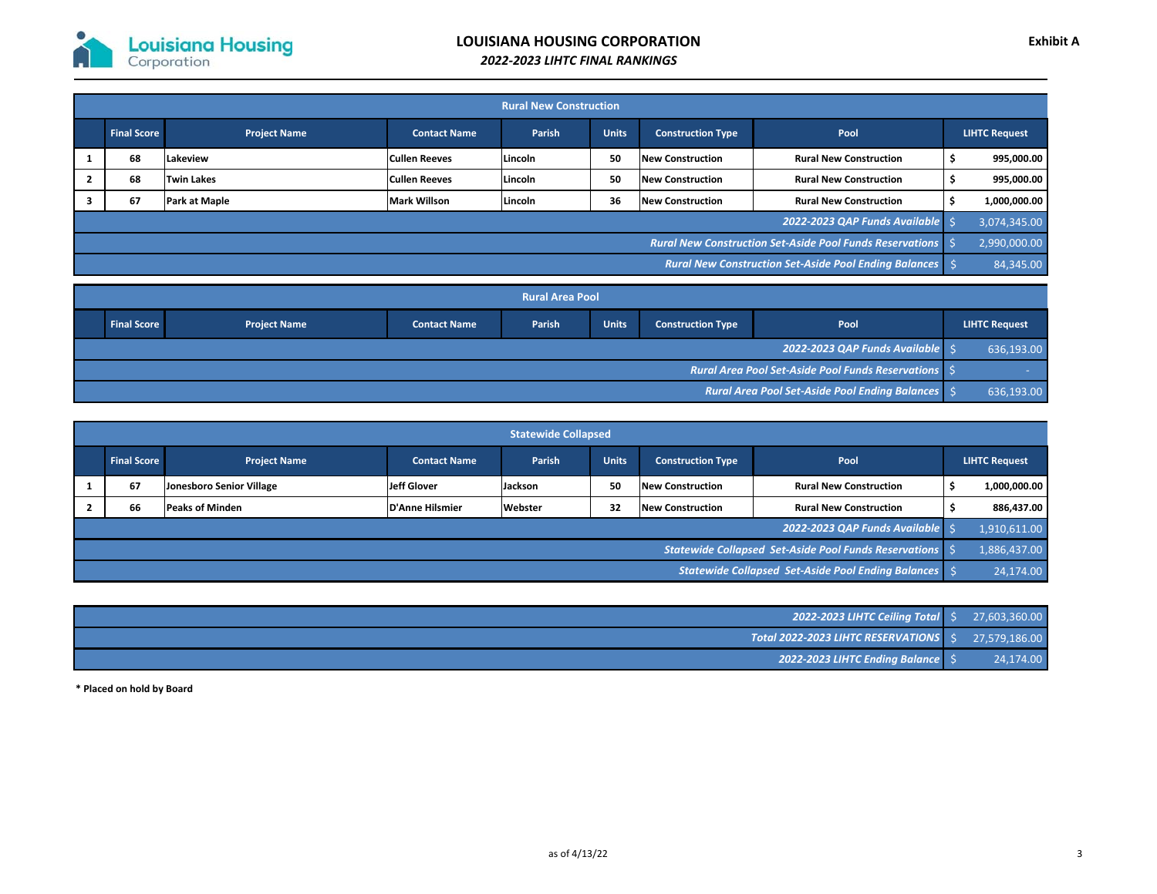

| <b>Rural New Construction</b>                                   |                                                                 |                     |                      |         |              |                          |                               |  |                      |
|-----------------------------------------------------------------|-----------------------------------------------------------------|---------------------|----------------------|---------|--------------|--------------------------|-------------------------------|--|----------------------|
|                                                                 | <b>Final Score</b>                                              | <b>Project Name</b> | <b>Contact Name</b>  | Parish  | <b>Units</b> | <b>Construction Type</b> | Pool                          |  | <b>LIHTC Request</b> |
|                                                                 | 68                                                              | Lakeview            | <b>Cullen Reeves</b> | Lincoln | 50           | <b>New Construction</b>  | <b>Rural New Construction</b> |  | 995.000.00           |
|                                                                 | 68                                                              | <b>Twin Lakes</b>   | <b>Cullen Reeves</b> | Lincoln | 50           | <b>New Construction</b>  | <b>Rural New Construction</b> |  | 995,000.00           |
|                                                                 | 67                                                              | Park at Maple       | <b>Mark Willson</b>  | Lincoln | 36           | <b>New Construction</b>  | <b>Rural New Construction</b> |  | 1,000,000.00         |
|                                                                 |                                                                 |                     |                      |         |              |                          | 2022-2023 QAP Funds Available |  | 3,074,345.00         |
|                                                                 | <b>Rural New Construction Set-Aside Pool Funds Reservations</b> |                     |                      |         |              |                          |                               |  |                      |
| <b>Rural New Construction Set-Aside Pool Ending Balances</b> \$ |                                                                 |                     |                      |         |              |                          |                               |  | 84,345.00            |

| <b>Rural Area Pool</b> |                                                            |                     |                     |        |              |                          |      |  |                      |
|------------------------|------------------------------------------------------------|---------------------|---------------------|--------|--------------|--------------------------|------|--|----------------------|
|                        | <b>Final Score</b>                                         | <b>Project Name</b> | <b>Contact Name</b> | Parish | <b>Units</b> | <b>Construction Type</b> | Pool |  | <b>LIHTC Request</b> |
|                        | 2022-2023 QAP Funds Available \\$                          |                     |                     |        |              |                          |      |  |                      |
|                        | <b>Rural Area Pool Set-Aside Pool Funds Reservations</b> S |                     |                     |        |              |                          |      |  |                      |
|                        | <b>Rural Area Pool Set-Aside Pool Ending Balances</b> \$   |                     |                     |        |              |                          |      |  | 636,193.00           |

| <b>Statewide Collapsed</b>                              |                    |                          |                     |         |              |                          |                               |  |                      |
|---------------------------------------------------------|--------------------|--------------------------|---------------------|---------|--------------|--------------------------|-------------------------------|--|----------------------|
|                                                         | <b>Final Score</b> | <b>Project Name</b>      | <b>Contact Name</b> | Parish  | <b>Units</b> | <b>Construction Type</b> | Pool                          |  | <b>LIHTC Request</b> |
|                                                         | 67                 | Jonesboro Senior Village | Jeff Glover         | Jackson | 50           | <b>New Construction</b>  | <b>Rural New Construction</b> |  | 1,000,000.00         |
|                                                         | 66                 | <b>Peaks of Minden</b>   | D'Anne Hilsmier     | Webster | 32           | <b>New Construction</b>  | <b>Rural New Construction</b> |  | 886,437.00           |
|                                                         |                    |                          |                     |         |              |                          | 2022-2023 QAP Funds Available |  | 1,910,611.00         |
| Statewide Collapsed Set-Aside Pool Funds Reservations S |                    |                          |                     |         |              |                          |                               |  | 1,886,437.00         |
| Statewide Collapsed Set-Aside Pool Ending Balances      |                    |                          |                     |         |              |                          |                               |  | 24,174.00            |

| <b>2022-2023 LIHTC Ceiling Total</b> \$ 27,603,360.00                          |           |
|--------------------------------------------------------------------------------|-----------|
| $\sqrt{10}$ Total 2022-2023 LIHTC RESERVATIONS $\vert \xi \vert$ 27,579,186.00 |           |
| <b>2022-2023 LIHTC Ending Balance</b> S                                        | 24,174.00 |

**\* Placed on hold by Board**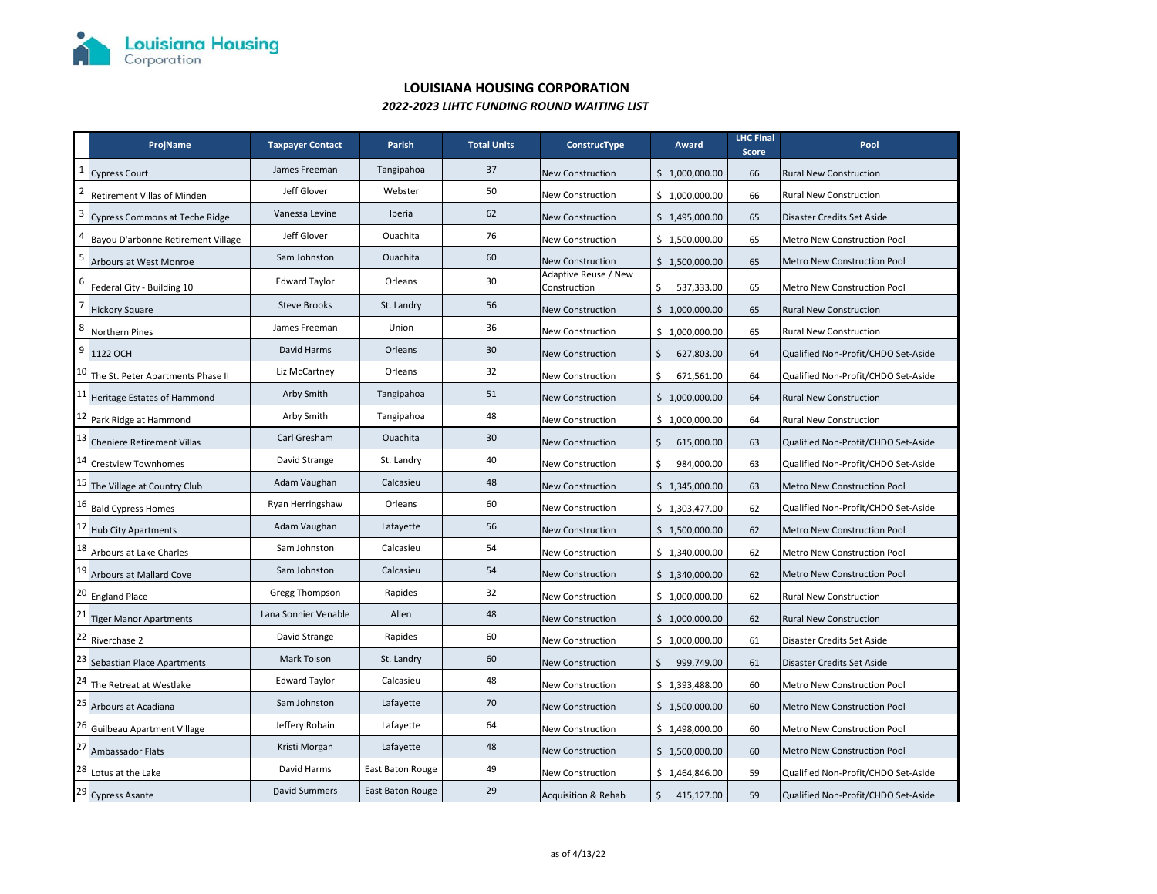

## **LOUISIANA HOUSING CORPORATION** *2022‐2023 LIHTC FUNDING ROUND WAITING LIST*

|                 | ProjName                           | <b>Taxpayer Contact</b> | Parish           | <b>Total Units</b> | ConstrucType                         | Award            | <b>LHC Final</b><br><b>Score</b> | Pool                                |
|-----------------|------------------------------------|-------------------------|------------------|--------------------|--------------------------------------|------------------|----------------------------------|-------------------------------------|
| $\mathbf 1$     | <b>Cypress Court</b>               | James Freeman           | Tangipahoa       | 37                 | <b>New Construction</b>              | \$1,000,000.00   | 66                               | <b>Rural New Construction</b>       |
| $\overline{2}$  | Retirement Villas of Minden        | Jeff Glover             | Webster          | 50                 | <b>New Construction</b>              | \$1,000,000.00   | 66                               | <b>Rural New Construction</b>       |
| $\overline{3}$  | Cypress Commons at Teche Ridge     | Vanessa Levine          | Iberia           | 62                 | <b>New Construction</b>              | \$1,495,000.00   | 65                               | Disaster Credits Set Aside          |
| $\overline{a}$  | Bayou D'arbonne Retirement Village | Jeff Glover             | Ouachita         | 76                 | New Construction                     | \$1,500,000.00   | 65                               | Metro New Construction Pool         |
| 5               | Arbours at West Monroe             | Sam Johnston            | Ouachita         | 60                 | New Construction                     | \$1,500,000.00   | 65                               | Metro New Construction Pool         |
| 6               | Federal City - Building 10         | <b>Edward Taylor</b>    | Orleans          | 30                 | Adaptive Reuse / New<br>Construction | \$<br>537,333.00 | 65                               | Metro New Construction Pool         |
| $\overline{7}$  | <b>Hickory Square</b>              | <b>Steve Brooks</b>     | St. Landry       | 56                 | <b>New Construction</b>              | \$1,000,000.00   | 65                               | <b>Rural New Construction</b>       |
| 8               | <b>Northern Pines</b>              | James Freeman           | Union            | 36                 | New Construction                     | \$1,000,000.00   | 65                               | Rural New Construction              |
| $\overline{9}$  | 1122 OCH                           | David Harms             | Orleans          | 30                 | <b>New Construction</b>              | \$<br>627,803.00 | 64                               | Qualified Non-Profit/CHDO Set-Aside |
| 10              | The St. Peter Apartments Phase II  | Liz McCartney           | Orleans          | 32                 | New Construction                     | Ś.<br>671,561.00 | 64                               | Qualified Non-Profit/CHDO Set-Aside |
| 11              | Heritage Estates of Hammond        | Arby Smith              | Tangipahoa       | 51                 | <b>New Construction</b>              | \$1,000,000.00   | 64                               | <b>Rural New Construction</b>       |
| 12              | Park Ridge at Hammond              | Arby Smith              | Tangipahoa       | 48                 | <b>New Construction</b>              | \$1,000,000.00   | 64                               | Rural New Construction              |
| 13              | <b>Cheniere Retirement Villas</b>  | Carl Gresham            | Ouachita         | 30                 | <b>New Construction</b>              | \$<br>615,000.00 | 63                               | Qualified Non-Profit/CHDO Set-Aside |
| 14              | <b>Crestview Townhomes</b>         | David Strange           | St. Landry       | 40                 | <b>New Construction</b>              | Ś<br>984,000.00  | 63                               | Qualified Non-Profit/CHDO Set-Aside |
| 15              | The Village at Country Club        | Adam Vaughan            | Calcasieu        | 48                 | <b>New Construction</b>              | \$1,345,000.00   | 63                               | Metro New Construction Pool         |
| 16              | <b>Bald Cypress Homes</b>          | Ryan Herringshaw        | Orleans          | 60                 | <b>New Construction</b>              | \$1,303,477.00   | 62                               | Qualified Non-Profit/CHDO Set-Aside |
| 17              | <b>Hub City Apartments</b>         | Adam Vaughan            | Lafayette        | 56                 | <b>New Construction</b>              | \$1,500,000.00   | 62                               | Metro New Construction Pool         |
| 18              | Arbours at Lake Charles            | Sam Johnston            | Calcasieu        | 54                 | New Construction                     | \$1,340,000.00   | 62                               | Metro New Construction Pool         |
| 19              | <b>Arbours at Mallard Cove</b>     | Sam Johnston            | Calcasieu        | 54                 | <b>New Construction</b>              | \$1,340,000.00   | 62                               | <b>Metro New Construction Pool</b>  |
| 20              | <b>England Place</b>               | Gregg Thompson          | Rapides          | 32                 | New Construction                     | \$1,000,000.00   | 62                               | <b>Rural New Construction</b>       |
| 21              | <b>Tiger Manor Apartments</b>      | Lana Sonnier Venable    | Allen            | 48                 | <b>New Construction</b>              | \$1,000,000.00   | 62                               | <b>Rural New Construction</b>       |
| 22              | Riverchase 2                       | David Strange           | Rapides          | 60                 | <b>New Construction</b>              | \$1,000,000.00   | 61                               | Disaster Credits Set Aside          |
| 23              | Sebastian Place Apartments         | Mark Tolson             | St. Landry       | 60                 | <b>New Construction</b>              | \$<br>999,749.00 | 61                               | Disaster Credits Set Aside          |
| $\overline{24}$ | The Retreat at Westlake            | <b>Edward Taylor</b>    | Calcasieu        | 48                 | New Construction                     | \$1,393,488.00   | 60                               | Metro New Construction Pool         |
| 25              | Arbours at Acadiana                | Sam Johnston            | Lafayette        | 70                 | New Construction                     | \$1,500,000.00   | 60                               | Metro New Construction Pool         |
| 26              | Guilbeau Apartment Village         | Jeffery Robain          | Lafayette        | 64                 | New Construction                     | \$1,498,000.00   | 60                               | Metro New Construction Pool         |
| 27              | Ambassador Flats                   | Kristi Morgan           | Lafayette        | 48                 | <b>New Construction</b>              | \$1,500,000.00   | 60                               | Metro New Construction Pool         |
| 28              | Lotus at the Lake                  | David Harms             | East Baton Rouge | 49                 | New Construction                     | \$1,464,846.00   | 59                               | Qualified Non-Profit/CHDO Set-Aside |
|                 | 29 Cypress Asante                  | <b>David Summers</b>    | East Baton Rouge | 29                 | <b>Acquisition &amp; Rehab</b>       | \$<br>415,127.00 | 59                               | Qualified Non-Profit/CHDO Set-Aside |